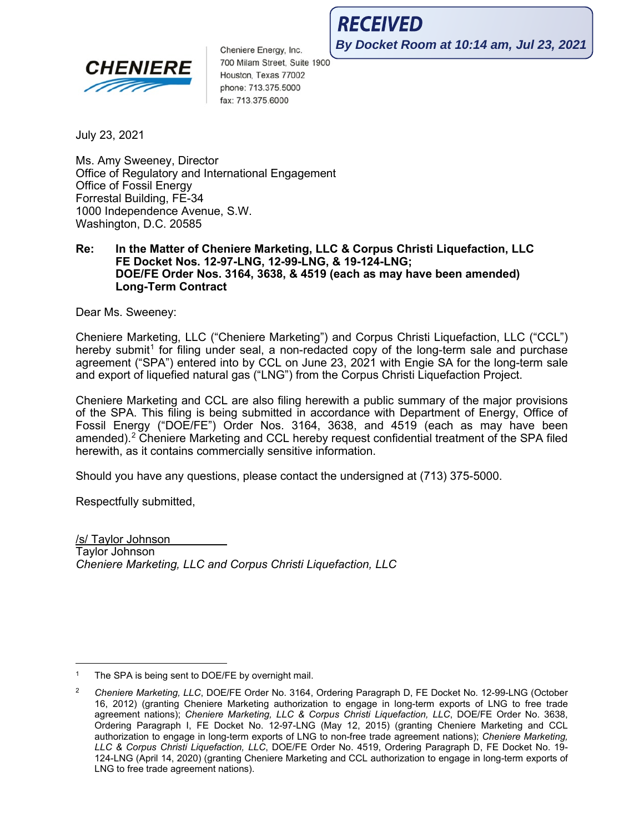

Cheniere Energy, Inc. 700 Milam Street, Suite 1900 Houston, Texas 77002 phone: 713.375.5000 fax: 713.375.6000

**RECEIVED By Docket Room at 10:14 am, Jul 23, 2021**

July 23, 2021

Ms. Amy Sweeney, Director Office of Regulatory and International Engagement Office of Fossil Energy Forrestal Building, FE-34 1000 Independence Avenue, S.W. Washington, D.C. 20585

#### **Re: In the Matter of Cheniere Marketing, LLC & Corpus Christi Liquefaction, LLC FE Docket Nos. 12-97-LNG, 12-99-LNG, & 19-124-LNG; DOE/FE Order Nos. 3164, 3638, & 4519 (each as may have been amended) Long-Term Contract**

Dear Ms. Sweeney:

Cheniere Marketing, LLC ("Cheniere Marketing") and Corpus Christi Liquefaction, LLC ("CCL") hereby submit<sup>[1](#page-0-0)</sup> for filing under seal, a non-redacted copy of the long-term sale and purchase agreement ("SPA") entered into by CCL on June 23, 2021 with Engie SA for the long-term sale and export of liquefied natural gas ("LNG") from the Corpus Christi Liquefaction Project.

Cheniere Marketing and CCL are also filing herewith a public summary of the major provisions of the SPA. This filing is being submitted in accordance with Department of Energy, Office of Fossil Energy ("DOE/FE") Order Nos. 3164, 3638, and 4519 (each as may have been amended). [2](#page-0-1) Cheniere Marketing and CCL hereby request confidential treatment of the SPA filed herewith, as it contains commercially sensitive information.

Should you have any questions, please contact the undersigned at (713) 375-5000.

Respectfully submitted,

/s/ Taylor Johnson Taylor Johnson *Cheniere Marketing, LLC and Corpus Christi Liquefaction, LLC*

<span id="page-0-0"></span>The SPA is being sent to DOE/FE by overnight mail.

<span id="page-0-1"></span><sup>2</sup> *Cheniere Marketing, LLC*, DOE/FE Order No. 3164, Ordering Paragraph D, FE Docket No. 12-99-LNG (October 16, 2012) (granting Cheniere Marketing authorization to engage in long-term exports of LNG to free trade agreement nations); *Cheniere Marketing, LLC & Corpus Christi Liquefaction, LLC*, DOE/FE Order No. 3638, Ordering Paragraph I, FE Docket No. 12-97-LNG (May 12, 2015) (granting Cheniere Marketing and CCL authorization to engage in long-term exports of LNG to non-free trade agreement nations); *Cheniere Marketing, LLC & Corpus Christi Liquefaction, LLC*, DOE/FE Order No. 4519, Ordering Paragraph D, FE Docket No. 19- 124-LNG (April 14, 2020) (granting Cheniere Marketing and CCL authorization to engage in long-term exports of LNG to free trade agreement nations).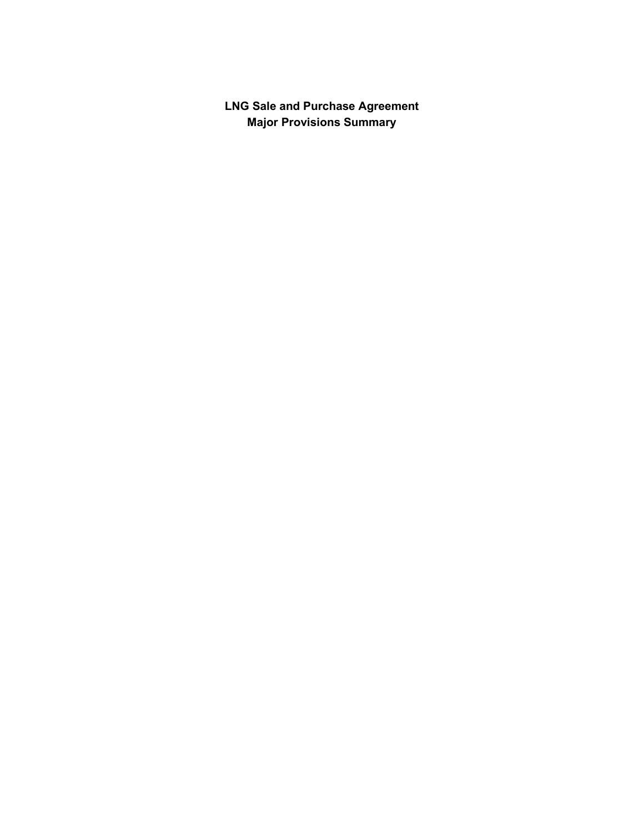**LNG Sale and Purchase Agreement Major Provisions Summary**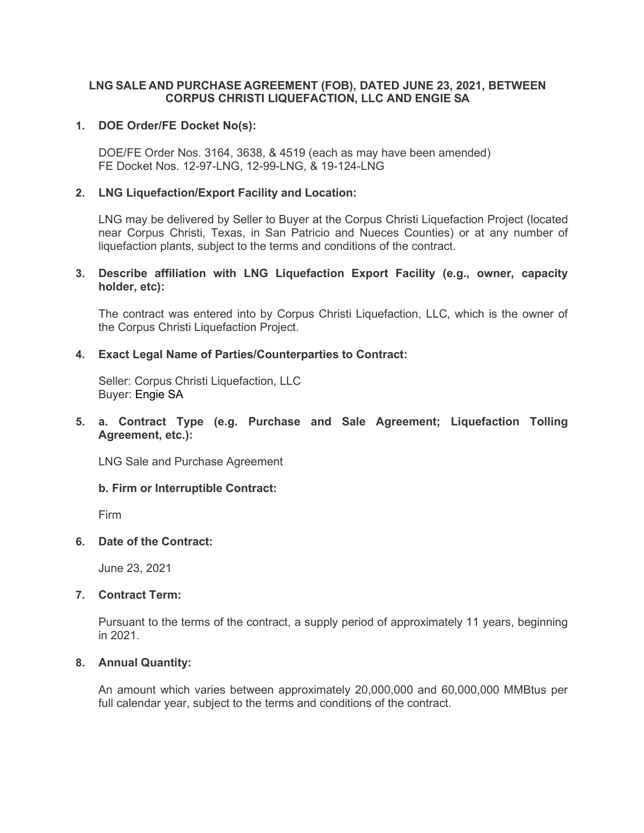## **LNG SALE AND PURCHASE AGREEMENT (FOB), DATED JUNE 23, 2021, BETWEEN CORPUS CHRISTI LIQUEFACTION, LLC AND ENGIE SA**

## **1. DOE Order/FE Docket No(s):**

DOE/FE Order Nos. 3164, 3638, & 4519 (each as may have been amended) FE Docket Nos. 12-97-LNG, 12-99-LNG, & 19-124-LNG

## **2. LNG Liquefaction/Export Facility and Location:**

LNG may be delivered by Seller to Buyer at the Corpus Christi Liquefaction Project (located near Corpus Christi, Texas, in San Patricio and Nueces Counties) or at any number of liquefaction plants, subject to the terms and conditions of the contract.

## **3. Describe affiliation with LNG Liquefaction Export Facility (e.g., owner, capacity holder, etc):**

The contract was entered into by Corpus Christi Liquefaction, LLC, which is the owner of the Corpus Christi Liquefaction Project.

## **4. Exact Legal Name of Parties/Counterparties to Contract:**

Seller: Corpus Christi Liquefaction, LLC Buyer: Engie SA

## **5. a. Contract Type (e.g. Purchase and Sale Agreement; Liquefaction Tolling Agreement, etc.):**

LNG Sale and Purchase Agreement

### **b. Firm or Interruptible Contract:**

Firm

### **6. Date of the Contract:**

June 23, 2021

### **7. Contract Term:**

Pursuant to the terms of the contract, a supply period of approximately 11 years, beginning in 2021.

# **8. Annual Quantity:**

An amount which varies between approximately 20,000,000 and 60,000,000 MMBtus per full calendar year, subject to the terms and conditions of the contract.